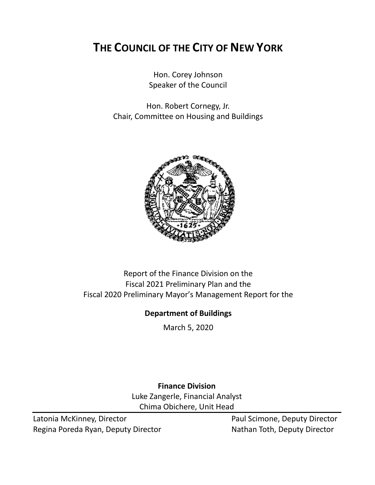# **THE COUNCIL OF THE CITY OF NEW YORK**

Hon. Corey Johnson Speaker of the Council

Hon. Robert Cornegy, Jr. Chair, Committee on Housing and Buildings



# Report of the Finance Division on the Fiscal 2021 Preliminary Plan and the Fiscal 2020 Preliminary Mayor's Management Report for the

# **Department of Buildings**

March 5, 2020

**Finance Division** Luke Zangerle, Financial Analyst Chima Obichere, Unit Head

Latonia McKinney, Director **Paul Scimone, Deputy Director** Paul Scimone, Deputy Director Regina Poreda Ryan, Deputy Director Nathan Toth, Deputy Director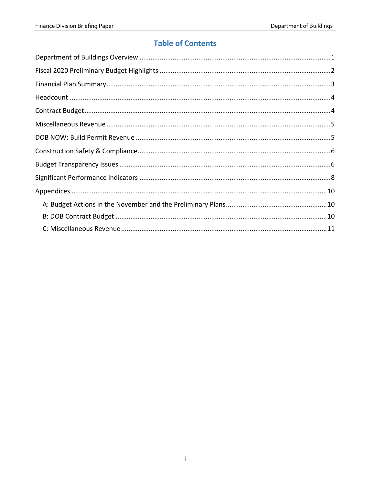# **Table of Contents**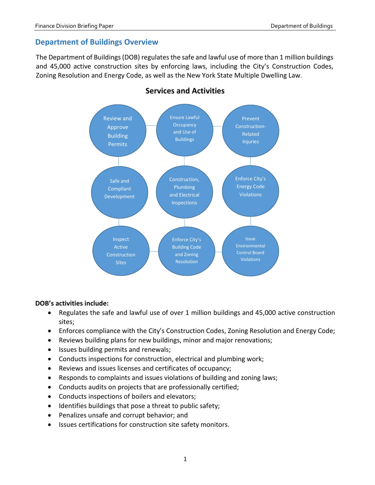## <span id="page-2-0"></span>**Department of Buildings Overview**

The Department of Buildings (DOB) regulates the safe and lawful use of more than 1 million buildings and 45,000 active construction sites by enforcing laws, including the City's Construction Codes, Zoning Resolution and Energy Code, as well as the New York State Multiple Dwelling Law.



## **Services and Activities**

#### **DOB's activities include:**

- Regulates the safe and lawful use of over 1 million buildings and 45,000 active construction sites;
- Enforces compliance with the City's Construction Codes, Zoning Resolution and Energy Code;
- Reviews building plans for new buildings, minor and major renovations;
- Issues building permits and renewals;
- Conducts inspections for construction, electrical and plumbing work;
- Reviews and issues licenses and certificates of occupancy;
- Responds to complaints and issues violations of building and zoning laws;
- Conducts audits on projects that are professionally certified;
- Conducts inspections of boilers and elevators;
- Identifies buildings that pose a threat to public safety;
- Penalizes unsafe and corrupt behavior; and
- Issues certifications for construction site safety monitors.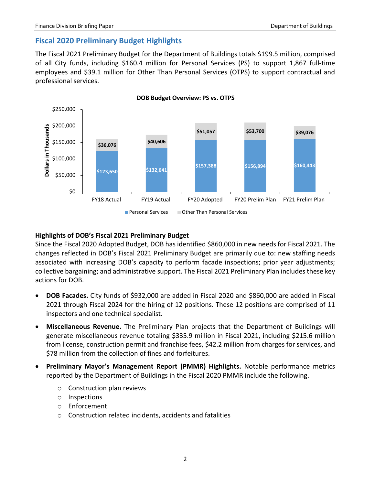# <span id="page-3-0"></span>**Fiscal 2020 Preliminary Budget Highlights**

The Fiscal 2021 Preliminary Budget for the Department of Buildings totals \$199.5 million, comprised of all City funds, including \$160.4 million for Personal Services (PS) to support 1,867 full-time employees and \$39.1 million for Other Than Personal Services (OTPS) to support contractual and professional services.



### **Highlights of DOB's Fiscal 2021 Preliminary Budget**

Since the Fiscal 2020 Adopted Budget, DOB has identified \$860,000 in new needs for Fiscal 2021. The changes reflected in DOB's Fiscal 2021 Preliminary Budget are primarily due to: new staffing needs associated with increasing DOB's capacity to perform facade inspections; prior year adjustments; collective bargaining; and administrative support. The Fiscal 2021 Preliminary Plan includes these key actions for DOB.

- **DOB Facades.** City funds of \$932,000 are added in Fiscal 2020 and \$860,000 are added in Fiscal 2021 through Fiscal 2024 for the hiring of 12 positions. These 12 positions are comprised of 11 inspectors and one technical specialist.
- **Miscellaneous Revenue.** The Preliminary Plan projects that the Department of Buildings will generate miscellaneous revenue totaling \$335.9 million in Fiscal 2021, including \$215.6 million from license, construction permit and franchise fees, \$42.2 million from charges for services, and \$78 million from the collection of fines and forfeitures.
- **Preliminary Mayor's Management Report (PMMR) Highlights.** Notable performance metrics reported by the Department of Buildings in the Fiscal 2020 PMMR include the following.
	- o Construction plan reviews
	- o Inspections
	- o Enforcement
	- o Construction related incidents, accidents and fatalities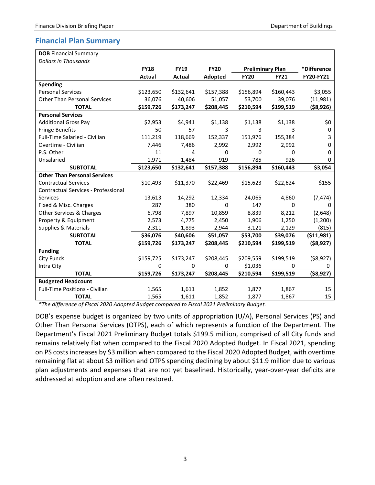# <span id="page-4-0"></span>**Financial Plan Summary**

| <b>DOB Financial Summary</b>          |               |             |                |                         |             |             |
|---------------------------------------|---------------|-------------|----------------|-------------------------|-------------|-------------|
| <b>Dollars in Thousands</b>           |               |             |                |                         |             |             |
|                                       | <b>FY18</b>   | <b>FY19</b> | <b>FY20</b>    | <b>Preliminary Plan</b> |             | *Difference |
|                                       | <b>Actual</b> | Actual      | <b>Adopted</b> | <b>FY20</b>             | <b>FY21</b> | FY20-FY21   |
| <b>Spending</b>                       |               |             |                |                         |             |             |
| <b>Personal Services</b>              | \$123,650     | \$132,641   | \$157,388      | \$156,894               | \$160,443   | \$3,055     |
| <b>Other Than Personal Services</b>   | 36,076        | 40,606      | 51,057         | 53,700                  | 39,076      | (11,981)    |
| <b>TOTAL</b>                          | \$159,726     | \$173,247   | \$208,445      | \$210,594               | \$199,519   | (\$8,926)   |
| <b>Personal Services</b>              |               |             |                |                         |             |             |
| <b>Additional Gross Pay</b>           | \$2,953       | \$4,941     | \$1,138        | \$1,138                 | \$1,138     | \$0         |
| <b>Fringe Benefits</b>                | 50            | 57          | 3              | 3                       | 3           | 0           |
| Full-Time Salaried - Civilian         | 111,219       | 118,669     | 152,337        | 151,976                 | 155,384     | 3           |
| Overtime - Civilian                   | 7,446         | 7,486       | 2,992          | 2,992                   | 2,992       | 0           |
| P.S. Other                            | 11            | 4           | $\Omega$       | 0                       | 0           | 0           |
| Unsalaried                            | 1,971         | 1,484       | 919            | 785                     | 926         | $\Omega$    |
| <b>SUBTOTAL</b>                       | \$123,650     | \$132,641   | \$157,388      | \$156,894               | \$160,443   | \$3,054     |
| <b>Other Than Personal Services</b>   |               |             |                |                         |             |             |
| <b>Contractual Services</b>           | \$10,493      | \$11,370    | \$22,469       | \$15,623                | \$22,624    | \$155       |
| Contractual Services - Professional   |               |             |                |                         |             |             |
| <b>Services</b>                       | 13,613        | 14,292      | 12,334         | 24,065                  | 4,860       | (7, 474)    |
| Fixed & Misc. Charges                 | 287           | 380         | 0              | 147                     | $\Omega$    | 0           |
| Other Services & Charges              | 6,798         | 7,897       | 10,859         | 8,839                   | 8,212       | (2,648)     |
| Property & Equipment                  | 2,573         | 4,775       | 2,450          | 1,906                   | 1,250       | (1,200)     |
| <b>Supplies &amp; Materials</b>       | 2,311         | 1,893       | 2,944          | 3,121                   | 2,129       | (815)       |
| <b>SUBTOTAL</b>                       | \$36,076      | \$40,606    | \$51,057       | \$53,700                | \$39,076    | (511,981)   |
| <b>TOTAL</b>                          | \$159,726     | \$173,247   | \$208,445      | \$210,594               | \$199,519   | ( \$8,927)  |
| <b>Funding</b>                        |               |             |                |                         |             |             |
| City Funds                            | \$159,725     | \$173,247   | \$208,445      | \$209,559               | \$199,519   | ( \$8,927)  |
| Intra City                            | 0             | 0           | 0              | \$1,036                 | 0           | 0           |
| <b>TOTAL</b>                          | \$159,726     | \$173,247   | \$208,445      | \$210,594               | \$199,519   | ( \$8,927)  |
| <b>Budgeted Headcount</b>             |               |             |                |                         |             |             |
| <b>Full-Time Positions - Civilian</b> | 1,565         | 1,611       | 1,852          | 1,877                   | 1,867       | 15          |
| <b>TOTAL</b>                          | 1,565         | 1,611       | 1,852          | 1,877                   | 1,867       | 15          |

*\*The difference of Fiscal 2020 Adopted Budget compared to Fiscal 2021 Preliminary Budget.*

DOB's expense budget is organized by two units of appropriation (U/A), Personal Services (PS) and Other Than Personal Services (OTPS), each of which represents a function of the Department. The Department's Fiscal 2021 Preliminary Budget totals \$199.5 million, comprised of all City funds and remains relatively flat when compared to the Fiscal 2020 Adopted Budget. In Fiscal 2021, spending on PS costs increases by \$3 million when compared to the Fiscal 2020 Adopted Budget, with overtime remaining flat at about \$3 million and OTPS spending declining by about \$11.9 million due to various plan adjustments and expenses that are not yet baselined. Historically, year-over-year deficits are addressed at adoption and are often restored.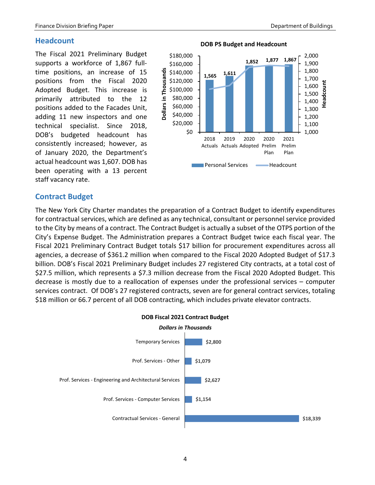### <span id="page-5-0"></span>**Headcount**

The Fiscal 2021 Preliminary Budget supports a workforce of 1,867 fulltime positions, an increase of 15 positions from the Fiscal 2020 Adopted Budget. This increase is primarily attributed to the 12 positions added to the Facades Unit, adding 11 new inspectors and one technical specialist. Since 2018, DOB's budgeted headcount has consistently increased; however, as of January 2020, the Department's actual headcount was 1,607. DOB has been operating with a 13 percent staff vacancy rate.



### <span id="page-5-1"></span>**Contract Budget**

The New York City Charter mandates the preparation of a Contract Budget to identify expenditures for contractual services, which are defined as any technical, consultant or personnel service provided to the City by means of a contract. The Contract Budget is actually a subset of the OTPS portion of the City's Expense Budget. The Administration prepares a Contract Budget twice each fiscal year. The Fiscal 2021 Preliminary Contract Budget totals \$17 billion for procurement expenditures across all agencies, a decrease of \$361.2 million when compared to the Fiscal 2020 Adopted Budget of \$17.3 billion. DOB's Fiscal 2021 Preliminary Budget includes 27 registered City contracts, at a total cost of \$27.5 million, which represents a \$7.3 million decrease from the Fiscal 2020 Adopted Budget. This decrease is mostly due to a reallocation of expenses under the professional services – computer services contract. Of DOB's 27 registered contracts, seven are for general contract services, totaling \$18 million or 66.7 percent of all DOB contracting, which includes private elevator contracts.

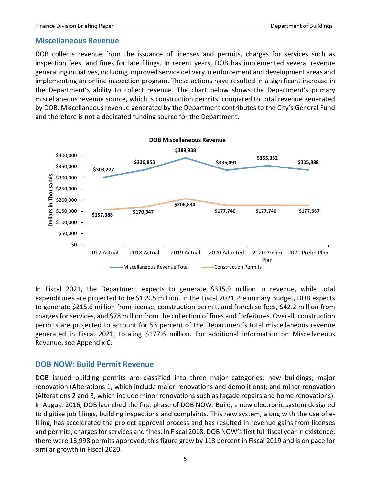### <span id="page-6-0"></span>**Miscellaneous Revenue**

DOB collects revenue from the issuance of licenses and permits, charges for services such as inspection fees, and fines for late filings. In recent years, DOB has implemented several revenue generating initiatives, including improved service delivery in enforcement and development areas and implementing an online inspection program. These actions have resulted in a significant increase in the Department's ability to collect revenue. The chart below shows the Department's primary miscellaneous revenue source, which is construction permits, compared to total revenue generated by DOB. Miscellaneous revenue generated by the Department contributes to the City's General Fund and therefore is not a dedicated funding source for the Department.



In Fiscal 2021, the Department expects to generate \$335.9 million in revenue, while total expenditures are projected to be \$199.5 million. In the Fiscal 2021 Preliminary Budget, DOB expects to generate \$215.6 million from license, construction permit, and franchise fees, \$42.2 million from charges for services, and \$78 million from the collection of fines and forfeitures. Overall, construction permits are projected to account for 53 percent of the Department's total miscellaneous revenue generated in Fiscal 2021, totaling \$177.6 million. For additional information on Miscellaneous Revenue, see Appendix C.

# <span id="page-6-1"></span>**DOB NOW: Build Permit Revenue**

DOB issued building permits are classified into three major categories: new buildings; major renovation (Alterations 1, which include major renovations and demolitions); and minor renovation (Alterations 2 and 3, which include minor renovations such as façade repairs and home renovations). In August 2016, DOB launched the first phase of DOB NOW: Build, a new electronic system designed to digitize job filings, building inspections and complaints. This new system, along with the use of efiling, has accelerated the project approval process and has resulted in revenue gains from licenses and permits, charges for services and fines. In Fiscal 2018, DOB NOW'sfirst full fiscal year in existence, there were 13,998 permits approved; this figure grew by 113 percent in Fiscal 2019 and is on pace for similar growth in Fiscal 2020.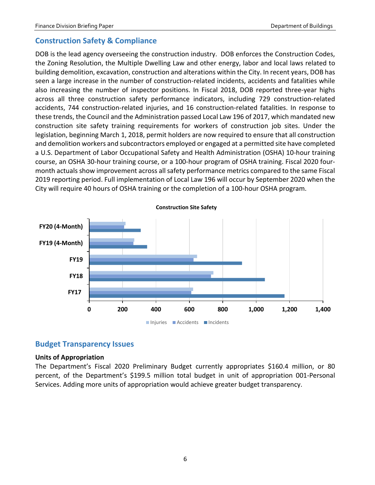### <span id="page-7-0"></span>**Construction Safety & Compliance**

DOB is the lead agency overseeing the construction industry. DOB enforces the Construction Codes, the Zoning Resolution, the Multiple Dwelling Law and other energy, labor and local laws related to building demolition, excavation, construction and alterations within the City. In recent years, DOB has seen a large increase in the number of construction-related incidents, accidents and fatalities while also increasing the number of inspector positions. In Fiscal 2018, DOB reported three-year highs across all three construction safety performance indicators, including 729 construction-related accidents, 744 construction-related injuries, and 16 construction-related fatalities. In response to these trends, the Council and the Administration passed Local Law 196 of 2017, which mandated new construction site safety training requirements for workers of construction job sites. Under the legislation, beginning March 1, 2018, permit holders are now required to ensure that all construction and demolition workers and subcontractors employed or engaged at a permitted site have completed a U.S. Department of Labor Occupational Safety and Health Administration (OSHA) 10-hour training course, an OSHA 30-hour training course, or a 100-hour program of OSHA training. Fiscal 2020 fourmonth actuals show improvement across all safety performance metrics compared to the same Fiscal 2019 reporting period. Full implementation of Local Law 196 will occur by September 2020 when the City will require 40 hours of OSHA training or the completion of a 100-hour OSHA program.



### <span id="page-7-1"></span>**Budget Transparency Issues**

#### **Units of Appropriation**

The Department's Fiscal 2020 Preliminary Budget currently appropriates \$160.4 million, or 80 percent, of the Department's \$199.5 million total budget in unit of appropriation 001-Personal Services. Adding more units of appropriation would achieve greater budget transparency.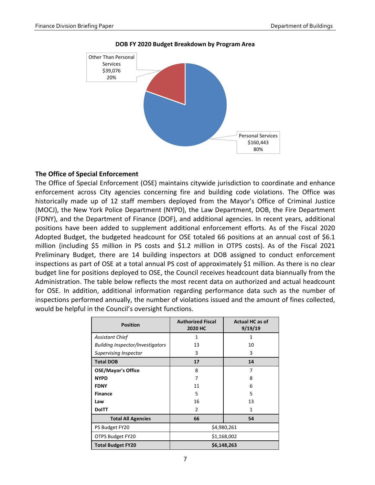

**DOB FY 2020 Budget Breakdown by Program Area**

#### **The Office of Special Enforcement**

The Office of Special Enforcement (OSE) maintains citywide jurisdiction to coordinate and enhance enforcement across City agencies concerning fire and building code violations. The Office was historically made up of 12 staff members deployed from the Mayor's Office of Criminal Justice (MOCJ), the New York Police Department (NYPD), the Law Department, DOB, the Fire Department (FDNY), and the Department of Finance (DOF), and additional agencies. In recent years, additional positions have been added to supplement additional enforcement efforts. As of the Fiscal 2020 Adopted Budget, the budgeted headcount for OSE totaled 66 positions at an annual cost of \$6.1 million (including \$5 million in PS costs and \$1.2 million in OTPS costs). As of the Fiscal 2021 Preliminary Budget, there are 14 building inspectors at DOB assigned to conduct enforcement inspections as part of OSE at a total annual PS cost of approximately \$1 million. As there is no clear budget line for positions deployed to OSE, the Council receives headcount data biannually from the Administration. The table below reflects the most recent data on authorized and actual headcount for OSE. In addition, additional information regarding performance data such as the number of inspections performed annually, the number of violations issued and the amount of fines collected, would be helpful in the Council's oversight functions.

| <b>Position</b>                         | <b>Authorized Fiscal</b><br>2020 HC | <b>Actual HC as of</b><br>9/19/19 |  |  |  |  |
|-----------------------------------------|-------------------------------------|-----------------------------------|--|--|--|--|
| <b>Assistant Chief</b>                  | 1                                   | 1                                 |  |  |  |  |
| <b>Building Inspector/Investigators</b> | 13                                  | 10                                |  |  |  |  |
| Supervising Inspector                   | 3                                   | 3                                 |  |  |  |  |
| <b>Total DOB</b>                        | 17                                  | 14                                |  |  |  |  |
| <b>OSE/Mayor's Office</b>               | 8                                   | 7                                 |  |  |  |  |
| <b>NYPD</b>                             | 7                                   | 8                                 |  |  |  |  |
| <b>FDNY</b>                             | 11                                  | 6                                 |  |  |  |  |
| <b>Finance</b>                          | 5                                   | 5                                 |  |  |  |  |
| Law                                     | 16                                  | 13                                |  |  |  |  |
| <b>DolTT</b>                            | 2                                   | 1                                 |  |  |  |  |
| <b>Total All Agencies</b>               | 66                                  | 54                                |  |  |  |  |
| PS Budget FY20                          | \$4,980,261                         |                                   |  |  |  |  |
| OTPS Budget FY20                        | \$1,168,002                         |                                   |  |  |  |  |
| <b>Total Budget FY20</b>                | \$6,148,263                         |                                   |  |  |  |  |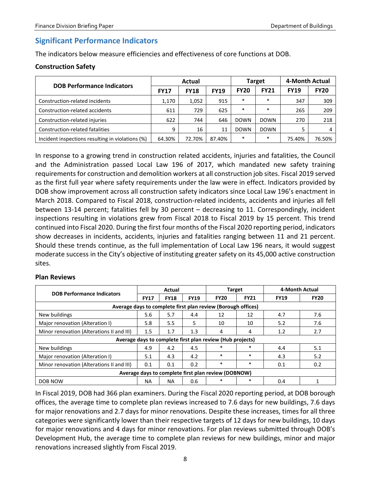# <span id="page-9-0"></span>**Significant Performance Indicators**

The indicators below measure efficiencies and effectiveness of core functions at DOB.

### **Construction Safety**

| <b>DOB Performance Indicators</b>                | Actual      |             |             |             | <b>Target</b> | 4-Month Actual |             |  |
|--------------------------------------------------|-------------|-------------|-------------|-------------|---------------|----------------|-------------|--|
|                                                  | <b>FY17</b> | <b>FY18</b> | <b>FY19</b> | <b>FY20</b> | <b>FY21</b>   | <b>FY19</b>    | <b>FY20</b> |  |
| Construction-related incidents                   | 1,170       | 1,052       | 915         | $\ast$      | $\ast$        | 347            | 309         |  |
| Construction-related accidents                   | 611         | 729         | 625         | $\ast$      | $\ast$        | 265            | 209         |  |
| Construction-related injuries                    | 622         | 744         | 646         | <b>DOWN</b> | <b>DOWN</b>   | 270            | 218         |  |
| Construction-related fatalities                  | 9           | 16          | 11          | <b>DOWN</b> | <b>DOWN</b>   |                | 4           |  |
| Incident inspections resulting in violations (%) | 64.30%      | 72.70%      | 87.40%      | $\ast$      | $\ast$        | 75.40%         | 76.50%      |  |

In response to a growing trend in construction related accidents, injuries and fatalities, the Council and the Administration passed Local Law 196 of 2017, which mandated new safety training requirements for construction and demolition workers at all construction job sites. Fiscal 2019 served as the first full year where safety requirements under the law were in effect. Indicators provided by DOB show improvement across all construction safety indicators since Local Law 196's enactment in March 2018. Compared to Fiscal 2018, construction-related incidents, accidents and injuries all fell between 13-14 percent; fatalities fell by 30 percent – decreasing to 11. Correspondingly, incident inspections resulting in violations grew from Fiscal 2018 to Fiscal 2019 by 15 percent. This trend continued into Fiscal 2020. During the first four months of the Fiscal 2020 reporting period, indicators show decreases in incidents, accidents, injuries and fatalities ranging between 11 and 21 percent. Should these trends continue, as the full implementation of Local Law 196 nears, it would suggest moderate success in the City's objective of instituting greater safety on its 45,000 active construction sites.

#### **Plan Reviews**

| <b>DOB Performance Indicators</b>                            | Actual      |             |             | <b>Target</b>                                             |             | 4-Month Actual |             |  |  |  |
|--------------------------------------------------------------|-------------|-------------|-------------|-----------------------------------------------------------|-------------|----------------|-------------|--|--|--|
|                                                              | <b>FY17</b> | <b>FY18</b> | <b>FY19</b> | <b>FY20</b>                                               | <b>FY21</b> | <b>FY19</b>    | <b>FY20</b> |  |  |  |
| Average days to complete first plan review (Borough offices) |             |             |             |                                                           |             |                |             |  |  |  |
| New buildings                                                | 5.6         | 5.7         | 4.4         | 12                                                        | 12          | 4.7            | 7.6         |  |  |  |
| Major renovation (Alteration I)                              | 5.8         | 5.5         | 5           | 10                                                        | 10          | 5.2            | 7.6         |  |  |  |
| Minor renovation (Alterations II and III)                    | 1.5         | 1.7         | 1.3         | 4                                                         | 4           | 1.2            | 2.7         |  |  |  |
|                                                              |             |             |             | Average days to complete first plan review (Hub projects) |             |                |             |  |  |  |
| New buildings                                                | 4.9         | 4.2         | 4.5         | $\ast$                                                    | $\ast$      | 4.4            | 5.1         |  |  |  |
| Major renovation (Alteration I)                              | 5.1         | 4.3         | 4.2         | $\ast$                                                    | $\ast$      | 4.3            | 5.2         |  |  |  |
| Minor renovation (Alterations II and III)                    | 0.1         | 0.1         | 0.2         | $\ast$                                                    | $\ast$      | 0.1            | 0.2         |  |  |  |
| Average days to complete first plan review (DOBNOW)          |             |             |             |                                                           |             |                |             |  |  |  |
| DOB NOW                                                      | ΝA          | <b>NA</b>   | 0.6         | *                                                         | *           | 0.4            | 1           |  |  |  |

In Fiscal 2019, DOB had 366 plan examiners. During the Fiscal 2020 reporting period, at DOB borough offices, the average time to complete plan reviews increased to 7.6 days for new buildings, 7.6 days for major renovations and 2.7 days for minor renovations. Despite these increases, times for all three categories were significantly lower than their respective targets of 12 days for new buildings, 10 days for major renovations and 4 days for minor renovations. For plan reviews submitted through DOB's Development Hub, the average time to complete plan reviews for new buildings, minor and major renovations increased slightly from Fiscal 2019.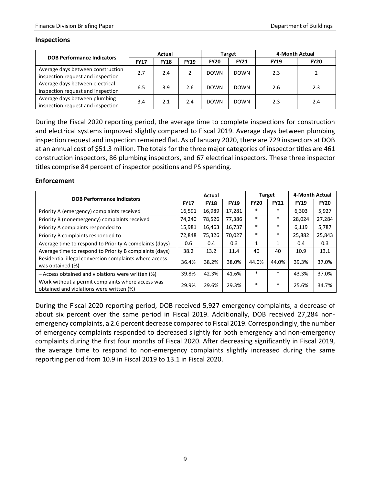#### **Inspections**

| <b>DOB Performance Indicators</b>                                      | Actual      |             |             |             | Target      | 4-Month Actual |             |
|------------------------------------------------------------------------|-------------|-------------|-------------|-------------|-------------|----------------|-------------|
|                                                                        | <b>FY17</b> | <b>FY18</b> | <b>FY19</b> | <b>FY20</b> | <b>FY21</b> | <b>FY19</b>    | <b>FY20</b> |
| Average days between construction<br>inspection request and inspection | 2.7         | 2.4         |             | <b>DOWN</b> | <b>DOWN</b> | 2.3            |             |
| Average days between electrical<br>inspection request and inspection   | 6.5         | 3.9         | 2.6         | <b>DOWN</b> | <b>DOWN</b> | 2.6            | 2.3         |
| Average days between plumbing<br>inspection request and inspection     | 3.4         | 2.1         | 2.4         | <b>DOWN</b> | <b>DOWN</b> | 2.3            | 2.4         |

During the Fiscal 2020 reporting period, the average time to complete inspections for construction and electrical systems improved slightly compared to Fiscal 2019. Average days between plumbing inspection request and inspection remained flat. As of January 2020, there are 729 inspectors at DOB at an annual cost of \$51.3 million. The totals for the three major categories of inspector titles are 461 construction inspectors, 86 plumbing inspectors, and 67 electrical inspectors. These three inspector titles comprise 84 percent of inspector positions and PS spending.

#### **Enforcement**

| <b>DOB Performance Indicators</b>                                                             |             | Actual      |             | <b>Target</b> |             | 4-Month Actual |             |
|-----------------------------------------------------------------------------------------------|-------------|-------------|-------------|---------------|-------------|----------------|-------------|
|                                                                                               | <b>FY17</b> | <b>FY18</b> | <b>FY19</b> | <b>FY20</b>   | <b>FY21</b> | <b>FY19</b>    | <b>FY20</b> |
| Priority A (emergency) complaints received                                                    | 16,591      | 16,989      | 17,281      | $\ast$        | $\ast$      | 6,303          | 5,927       |
| Priority B (nonemergency) complaints received                                                 | 74,240      | 78,526      | 77,386      | *             | $\ast$      | 28.024         | 27,284      |
| Priority A complaints responded to                                                            | 15,981      | 16,463      | 16,737      | $\ast$        | $\ast$      | 6,119          | 5,787       |
| Priority B complaints responded to                                                            | 72,848      | 75,326      | 70,027      | $\ast$        | $\ast$      | 25,882         | 25,843      |
| Average time to respond to Priority A complaints (days)                                       | 0.6         | 0.4         | 0.3         | 1             | 1           | 0.4            | 0.3         |
| Average time to respond to Priority B complaints (days)                                       | 38.2        | 13.2        | 11.4        | 40            | 40          | 10.9           | 13.1        |
| Residential illegal conversion complaints where access<br>was obtained (%)                    | 36.4%       | 38.2%       | 38.0%       | 44.0%         | 44.0%       | 39.3%          | 37.0%       |
| - Access obtained and violations were written (%)                                             | 39.8%       | 42.3%       | 41.6%       | $\ast$        | $\ast$      | 43.3%          | 37.0%       |
| Work without a permit complaints where access was<br>obtained and violations were written (%) | 29.9%       | 29.6%       | 29.3%       | $\ast$        | $\ast$      | 25.6%          | 34.7%       |

During the Fiscal 2020 reporting period, DOB received 5,927 emergency complaints, a decrease of about six percent over the same period in Fiscal 2019. Additionally, DOB received 27,284 nonemergency complaints, a 2.6 percent decrease compared to Fiscal 2019. Correspondingly, the number of emergency complaints responded to decreased slightly for both emergency and non-emergency complaints during the first four months of Fiscal 2020. After decreasing significantly in Fiscal 2019, the average time to respond to non-emergency complaints slightly increased during the same reporting period from 10.9 in Fiscal 2019 to 13.1 in Fiscal 2020.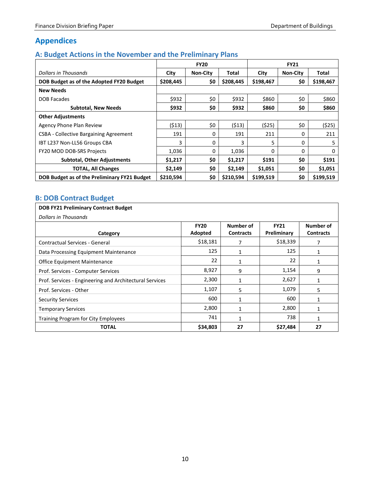# <span id="page-11-0"></span>**Appendices**

# <span id="page-11-1"></span>**A: Budget Actions in the November and the Preliminary Plans**

|                                               | <b>FY20</b> |                 |              | <b>FY21</b> |                 |           |
|-----------------------------------------------|-------------|-----------------|--------------|-------------|-----------------|-----------|
| Dollars in Thousands                          | City        | <b>Non-City</b> | <b>Total</b> | City        | <b>Non-City</b> | Total     |
| DOB Budget as of the Adopted FY20 Budget      | \$208,445   | \$0             | \$208,445    | \$198,467   | \$0             | \$198,467 |
| <b>New Needs</b>                              |             |                 |              |             |                 |           |
| <b>DOB Facades</b>                            | \$932       | \$0             | \$932        | \$860       | \$0             | \$860     |
| <b>Subtotal, New Needs</b>                    | \$932       | \$0             | \$932        | \$860       | \$0             | \$860     |
| <b>Other Adjustments</b>                      |             |                 |              |             |                 |           |
| Agency Phone Plan Review                      | (513)       | \$0             | (513)        | (525)       | \$0             | (525)     |
| <b>CSBA - Collective Bargaining Agreement</b> | 191         | 0               | 191          | 211         | 0               | 211       |
| IBT L237 Non-LL56 Groups CBA                  | 3           | 0               | 3            | 5           | 0               | 5         |
| FY20 MOD DOB-SRS Projects                     | 1,036       | $\mathbf{0}$    | 1,036        | $\Omega$    | $\Omega$        | $\Omega$  |
| <b>Subtotal, Other Adjustments</b>            | \$1,217     | \$0             | \$1,217      | \$191       | \$0             | \$191     |
| <b>TOTAL, All Changes</b>                     | \$2,149     | \$0             | \$2,149      | \$1,051     | \$0             | \$1,051   |
| DOB Budget as of the Preliminary FY21 Budget  | \$210,594   | \$0             | \$210,594    | \$199,519   | \$0             | \$199,519 |

# <span id="page-11-2"></span>**B: DOB Contract Budget**

| <b>DOB FY21 Preliminary Contract Budget</b>             |                        |                               |                            |                               |  |  |  |
|---------------------------------------------------------|------------------------|-------------------------------|----------------------------|-------------------------------|--|--|--|
| Dollars in Thousands                                    |                        |                               |                            |                               |  |  |  |
| Category                                                | <b>FY20</b><br>Adopted | Number of<br><b>Contracts</b> | <b>FY21</b><br>Preliminary | Number of<br><b>Contracts</b> |  |  |  |
| <b>Contractual Services - General</b>                   | \$18,181               | 7                             | \$18,339                   | 7                             |  |  |  |
| Data Processing Equipment Maintenance                   | 125                    | 1                             | 125                        | 1                             |  |  |  |
| <b>Office Equipment Maintenance</b>                     | 22                     | 1                             | 22                         | 1                             |  |  |  |
| Prof. Services - Computer Services                      | 8,927                  | 9                             | 1,154                      | 9                             |  |  |  |
| Prof. Services - Engineering and Architectural Services | 2,300                  | $\mathbf{1}$                  | 2,627                      | 1                             |  |  |  |
| Prof. Services - Other                                  | 1,107                  | 5                             | 1,079                      | 5                             |  |  |  |
| <b>Security Services</b>                                | 600                    | $\mathbf{1}$                  | 600                        | 1                             |  |  |  |
| <b>Temporary Services</b>                               | 2,800                  | $\mathbf{1}$                  | 2,800                      | 1                             |  |  |  |
| <b>Training Program for City Employees</b>              | 741                    | 1                             | 738                        |                               |  |  |  |
| TOTAL                                                   | \$34,803               | 27                            | \$27,484                   | 27                            |  |  |  |